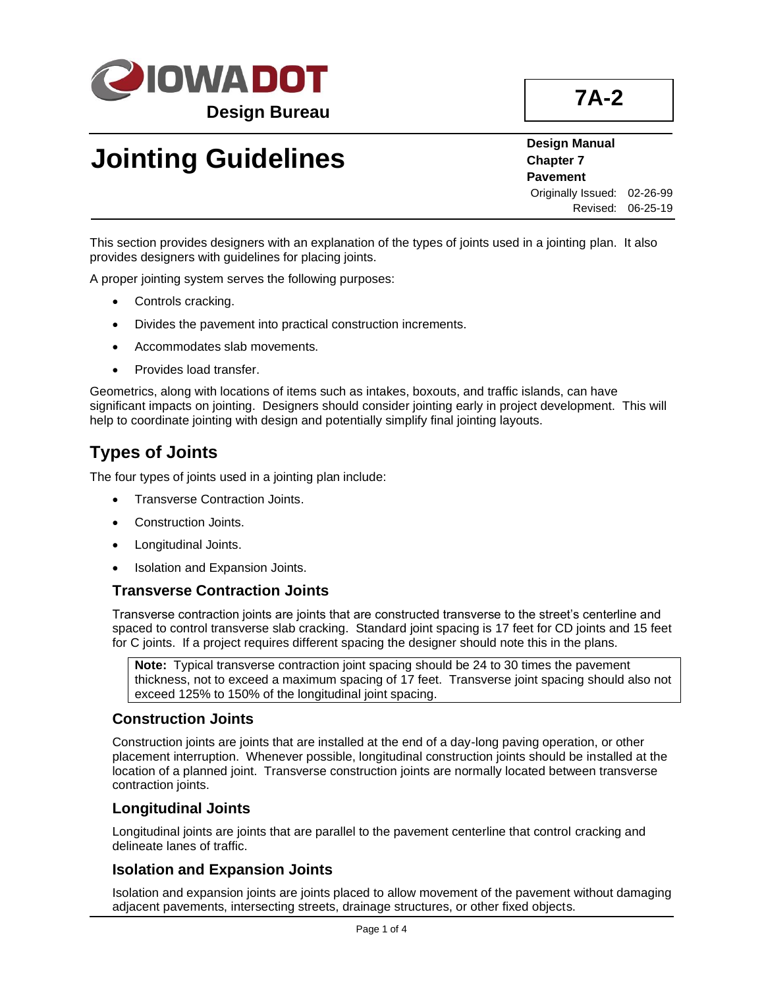

# **Jointing Guidelines**

**Design Manual Chapter 7 Pavement** Originally Issued: 02-26-99 Revised: 06-25-19

This section provides designers with an explanation of the types of joints used in a jointing plan. It also provides designers with guidelines for placing joints.

A proper jointing system serves the following purposes:

- Controls cracking.
- Divides the pavement into practical construction increments.
- Accommodates slab movements.
- Provides load transfer.

Geometrics, along with locations of items such as intakes, boxouts, and traffic islands, can have significant impacts on jointing. Designers should consider jointing early in project development. This will help to coordinate jointing with design and potentially simplify final jointing layouts.

## **Types of Joints**

The four types of joints used in a jointing plan include:

- Transverse Contraction Joints.
- Construction Joints.
- Longitudinal Joints.
- Isolation and Expansion Joints.

### **Transverse Contraction Joints**

Transverse contraction joints are joints that are constructed transverse to the street's centerline and spaced to control transverse slab cracking. Standard joint spacing is 17 feet for CD joints and 15 feet for C joints. If a project requires different spacing the designer should note this in the plans.

**Note:** Typical transverse contraction joint spacing should be 24 to 30 times the pavement thickness, not to exceed a maximum spacing of 17 feet. Transverse joint spacing should also not exceed 125% to 150% of the longitudinal joint spacing.

#### **Construction Joints**

Construction joints are joints that are installed at the end of a day-long paving operation, or other placement interruption. Whenever possible, longitudinal construction joints should be installed at the location of a planned joint. Transverse construction joints are normally located between transverse contraction joints.

### **Longitudinal Joints**

Longitudinal joints are joints that are parallel to the pavement centerline that control cracking and delineate lanes of traffic.

### **Isolation and Expansion Joints**

Isolation and expansion joints are joints placed to allow movement of the pavement without damaging adjacent pavements, intersecting streets, drainage structures, or other fixed objects.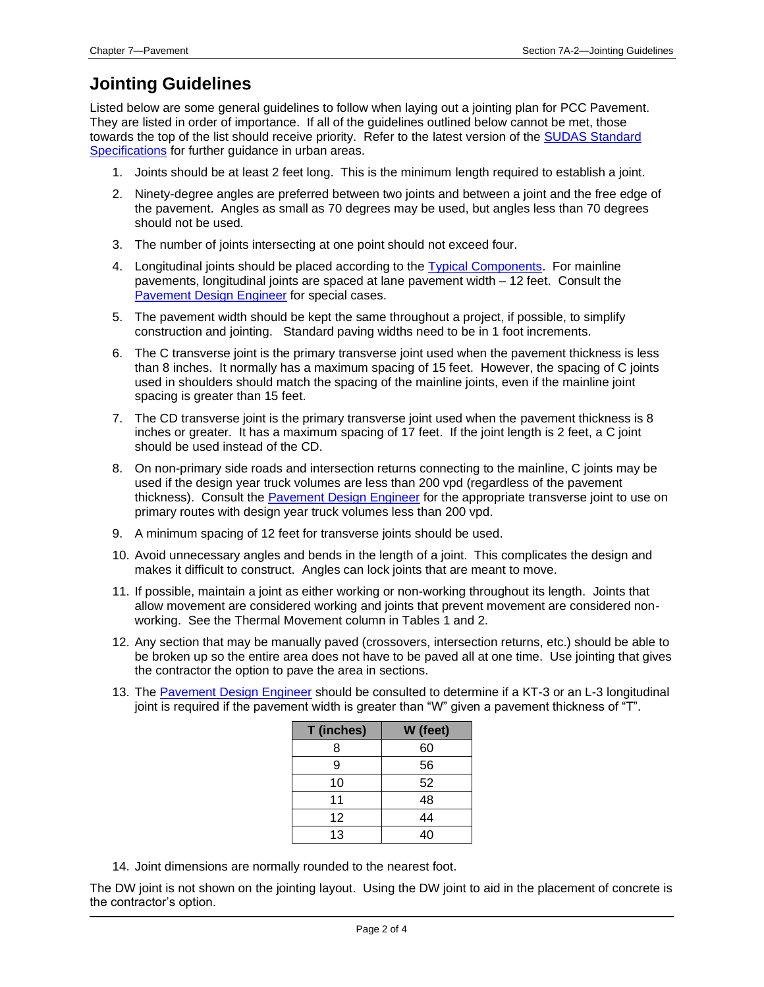## **Jointing Guidelines**

Listed below are some general guidelines to follow when laying out a jointing plan for PCC Pavement. They are listed in order of importance. If all of the guidelines outlined below cannot be met, those towards the top of the list should receive priority. Refer to the latest version of the [SUDAS Standard](https://iowasudas.org/manuals/specifications-manual/)  [Specifications](https://iowasudas.org/manuals/specifications-manual/) for further guidance in urban areas.

- 1. Joints should be at least 2 feet long. This is the minimum length required to establish a joint.
- 2. Ninety-degree angles are preferred between two joints and between a joint and the free edge of the pavement. Angles as small as 70 degrees may be used, but angles less than 70 degrees should not be used.
- 3. The number of joints intersecting at one point should not exceed four.
- 4. Longitudinal joints should be placed according to the **Typical Components**. For mainline pavements, longitudinal joints are spaced at lane pavement width – 12 feet. Consult the [Pavement Design Engineer](01B-02/PavementDesignEngineer.pdf) for special cases.
- 5. The pavement width should be kept the same throughout a project, if possible, to simplify construction and jointing. Standard paving widths need to be in 1 foot increments.
- 6. The C transverse joint is the primary transverse joint used when the pavement thickness is less than 8 inches. It normally has a maximum spacing of 15 feet. However, the spacing of C joints used in shoulders should match the spacing of the mainline joints, even if the mainline joint spacing is greater than 15 feet.
- 7. The CD transverse joint is the primary transverse joint used when the pavement thickness is 8 inches or greater. It has a maximum spacing of 17 feet. If the joint length is 2 feet, a C joint should be used instead of the CD.
- 8. On non-primary side roads and intersection returns connecting to the mainline, C joints may be used if the design year truck volumes are less than 200 vpd (regardless of the pavement thickness). Consult th[e Pavement Design Engineer](01B-02/PavementDesignEngineer.pdf) for the appropriate transverse joint to use on primary routes with design year truck volumes less than 200 vpd.
- 9. A minimum spacing of 12 feet for transverse joints should be used.
- 10. Avoid unnecessary angles and bends in the length of a joint. This complicates the design and makes it difficult to construct. Angles can lock joints that are meant to move.
- 11. If possible, maintain a joint as either working or non-working throughout its length. Joints that allow movement are considered working and joints that prevent movement are considered nonworking. See the Thermal Movement column in Tables 1 and 2.
- 12. Any section that may be manually paved (crossovers, intersection returns, etc.) should be able to be broken up so the entire area does not have to be paved all at one time. Use jointing that gives the contractor the option to pave the area in sections.
- 13. The [Pavement Design Engineer](01B-02/PavementDesignEngineer.pdf) should be consulted to determine if a KT-3 or an L-3 longitudinal joint is required if the pavement width is greater than "W" given a pavement thickness of "T".

| T (inches) | W (feet) |
|------------|----------|
| 8          | 60       |
| 9          | 56       |
| 10         | 52       |
| 11         | 48       |
| 12         | 44       |
| 13         | 40       |

14. Joint dimensions are normally rounded to the nearest foot.

The DW joint is not shown on the jointing layout. Using the DW joint to aid in the placement of concrete is the contractor's option.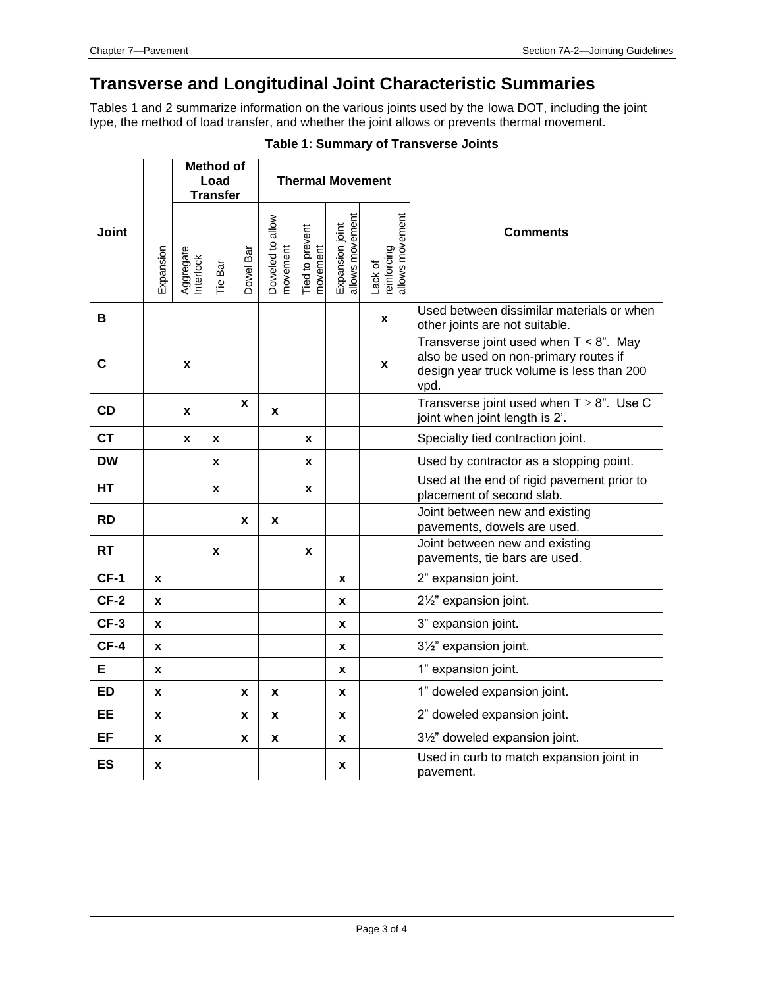## **Transverse and Longitudinal Joint Characteristic Summaries**

Tables 1 and 2 summarize information on the various joints used by the Iowa DOT, including the joint type, the method of load transfer, and whether the joint allows or prevents thermal movement.

|              |           | <b>Method of</b><br>Load<br><b>Transfer</b> |         |           |                              |                             | <b>Thermal Movement</b>            |                                           |                                                                                                                                         |
|--------------|-----------|---------------------------------------------|---------|-----------|------------------------------|-----------------------------|------------------------------------|-------------------------------------------|-----------------------------------------------------------------------------------------------------------------------------------------|
| <b>Joint</b> | Expansion | Aggregate<br>Interlock                      | Tie Bar | Dowel Bar | Doweled to allow<br>movement | Tied to prevent<br>novement | Expansion joint<br>allows movement | allows movement<br>reinforcing<br>Lack of | <b>Comments</b>                                                                                                                         |
| B            |           |                                             |         |           |                              |                             |                                    | X                                         | Used between dissimilar materials or when<br>other joints are not suitable.                                                             |
| $\mathbf{C}$ |           | X                                           |         |           |                              |                             |                                    | X                                         | Transverse joint used when $T < 8$ ". May<br>also be used on non-primary routes if<br>design year truck volume is less than 200<br>vpd. |
| <b>CD</b>    |           | X                                           |         | X         | X                            |                             |                                    |                                           | Transverse joint used when $T \geq 8$ ". Use C<br>joint when joint length is 2'.                                                        |
| <b>CT</b>    |           | X                                           | X       |           |                              | X                           |                                    |                                           | Specialty tied contraction joint.                                                                                                       |
| <b>DW</b>    |           |                                             | X       |           |                              | $\pmb{\mathsf{x}}$          |                                    |                                           | Used by contractor as a stopping point.                                                                                                 |
| <b>HT</b>    |           |                                             | X       |           |                              | X                           |                                    |                                           | Used at the end of rigid pavement prior to<br>placement of second slab.                                                                 |
| <b>RD</b>    |           |                                             |         | X         | X                            |                             |                                    |                                           | Joint between new and existing<br>pavements, dowels are used.                                                                           |
| <b>RT</b>    |           |                                             | X       |           |                              | X                           |                                    |                                           | Joint between new and existing<br>pavements, tie bars are used.                                                                         |
| $CF-1$       | X         |                                             |         |           |                              |                             | X                                  |                                           | 2" expansion joint.                                                                                                                     |
| $CF-2$       | x         |                                             |         |           |                              |                             | X                                  |                                           | 21/2" expansion joint.                                                                                                                  |
| $CF-3$       | X         |                                             |         |           |                              |                             | X                                  |                                           | 3" expansion joint.                                                                                                                     |
| $CF-4$       | X         |                                             |         |           |                              |                             | X                                  |                                           | 31/2" expansion joint.                                                                                                                  |
| E            | X         |                                             |         |           |                              |                             | X                                  |                                           | 1" expansion joint.                                                                                                                     |
| <b>ED</b>    | X         |                                             |         | X         | X                            |                             | X                                  |                                           | 1" doweled expansion joint.                                                                                                             |
| <b>EE</b>    | X         |                                             |         | X         | X                            |                             | X                                  |                                           | 2" doweled expansion joint.                                                                                                             |
| EF           | X         |                                             |         | X         | X                            |                             | X                                  |                                           | 31/2" doweled expansion joint.                                                                                                          |
| <b>ES</b>    | X         |                                             |         |           |                              |                             | X                                  |                                           | Used in curb to match expansion joint in<br>pavement.                                                                                   |

#### **Table 1: Summary of Transverse Joints**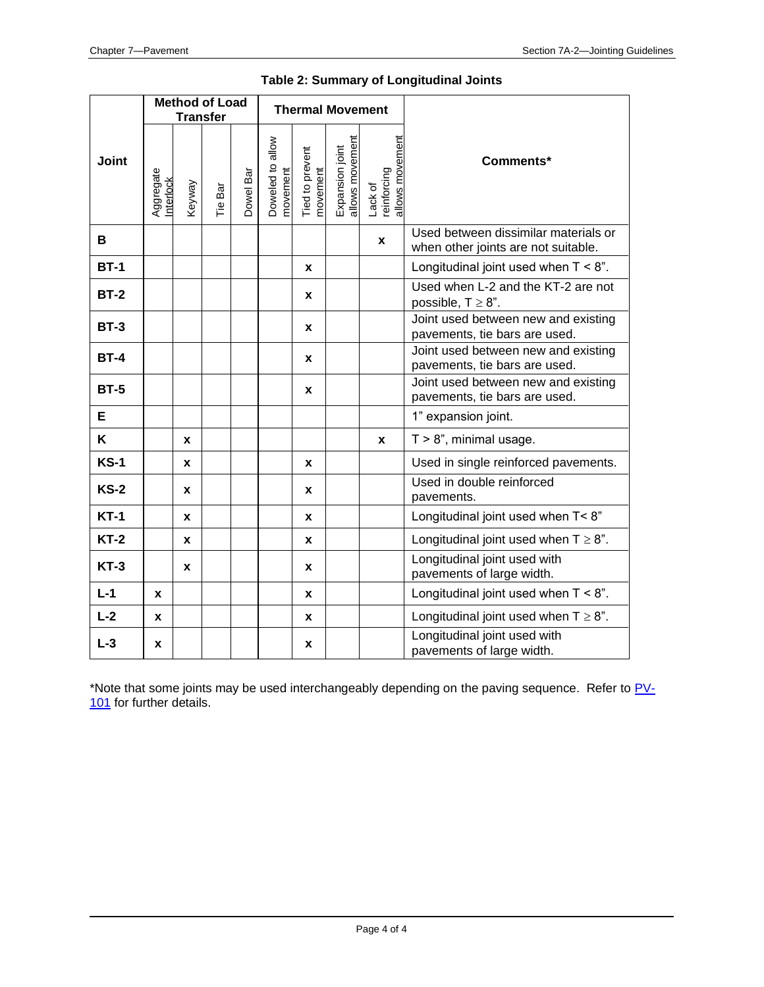|             | <b>Method of Load</b><br><b>Transfer</b> |        |         |           | <b>Thermal Movement</b>      |                             |                                    |                                           |                                                                             |
|-------------|------------------------------------------|--------|---------|-----------|------------------------------|-----------------------------|------------------------------------|-------------------------------------------|-----------------------------------------------------------------------------|
| Joint       | Aggregate<br><b>Interlock</b>            | Keyway | Tie Bar | Dowel Bar | Doweled to allow<br>novement | Tied to prevent<br>movement | allows movement<br>Expansion joint | allows movement<br>reinforcing<br>Lack of | Comments*                                                                   |
| B           |                                          |        |         |           |                              |                             |                                    | X                                         | Used between dissimilar materials or<br>when other joints are not suitable. |
| <b>BT-1</b> |                                          |        |         |           |                              | X                           |                                    |                                           | Longitudinal joint used when $T < 8$ ".                                     |
| <b>BT-2</b> |                                          |        |         |           |                              | X                           |                                    |                                           | Used when L-2 and the KT-2 are not<br>possible, $T \geq 8$ ".               |
| $BT-3$      |                                          |        |         |           |                              | X                           |                                    |                                           | Joint used between new and existing<br>pavements, tie bars are used.        |
| <b>BT-4</b> |                                          |        |         |           |                              | X                           |                                    |                                           | Joint used between new and existing<br>pavements, tie bars are used.        |
| <b>BT-5</b> |                                          |        |         |           |                              | X                           |                                    |                                           | Joint used between new and existing<br>pavements, tie bars are used.        |
| E           |                                          |        |         |           |                              |                             |                                    |                                           | 1" expansion joint.                                                         |
| K           |                                          | X      |         |           |                              |                             |                                    | X                                         | $T > 8$ ", minimal usage.                                                   |
| <b>KS-1</b> |                                          | X      |         |           |                              | X                           |                                    |                                           | Used in single reinforced pavements.                                        |
| $KS-2$      |                                          | x      |         |           |                              | x                           |                                    |                                           | Used in double reinforced<br>pavements.                                     |
| $KT-1$      |                                          | X      |         |           |                              | X                           |                                    |                                           | Longitudinal joint used when T< 8"                                          |
| $KT-2$      |                                          | X      |         |           |                              | X                           |                                    |                                           | Longitudinal joint used when $T \geq 8$ ".                                  |
| <b>KT-3</b> |                                          | X      |         |           |                              | X                           |                                    |                                           | Longitudinal joint used with<br>pavements of large width.                   |
| $L-1$       | x                                        |        |         |           |                              | X                           |                                    |                                           | Longitudinal joint used when $T < 8$ ".                                     |
| $L-2$       | x                                        |        |         |           |                              | X                           |                                    |                                           | Longitudinal joint used when $T \geq 8$ ".                                  |
| $L-3$       | x                                        |        |         |           |                              | X                           |                                    |                                           | Longitudinal joint used with<br>pavements of large width.                   |

\*Note that some joints may be used interchangeably depending on the paving sequence. Refer to [PV-](../SRP/IndividualStandards/pv101.pdf)[101](../SRP/IndividualStandards/pv101.pdf) for further details.